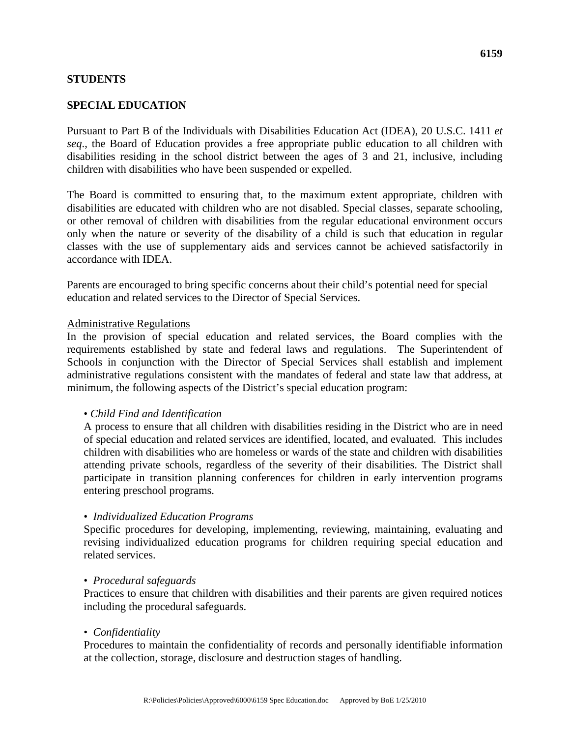## **STUDENTS**

# **SPECIAL EDUCATION**

Pursuant to Part B of the Individuals with Disabilities Education Act (IDEA), 20 U.S.C. 1411 *et seq*., the Board of Education provides a free appropriate public education to all children with disabilities residing in the school district between the ages of 3 and 21, inclusive, including children with disabilities who have been suspended or expelled.

The Board is committed to ensuring that, to the maximum extent appropriate, children with disabilities are educated with children who are not disabled. Special classes, separate schooling, or other removal of children with disabilities from the regular educational environment occurs only when the nature or severity of the disability of a child is such that education in regular classes with the use of supplementary aids and services cannot be achieved satisfactorily in accordance with IDEA.

Parents are encouraged to bring specific concerns about their child's potential need for special education and related services to the Director of Special Services.

#### Administrative Regulations

In the provision of special education and related services, the Board complies with the requirements established by state and federal laws and regulations. The Superintendent of Schools in conjunction with the Director of Special Services shall establish and implement administrative regulations consistent with the mandates of federal and state law that address, at minimum, the following aspects of the District's special education program:

## • *Child Find and Identification*

A process to ensure that all children with disabilities residing in the District who are in need of special education and related services are identified, located, and evaluated. This includes children with disabilities who are homeless or wards of the state and children with disabilities attending private schools, regardless of the severity of their disabilities. The District shall participate in transition planning conferences for children in early intervention programs entering preschool programs.

#### • *Individualized Education Programs*

Specific procedures for developing, implementing, reviewing, maintaining, evaluating and revising individualized education programs for children requiring special education and related services.

#### • *Procedural safeguards*

Practices to ensure that children with disabilities and their parents are given required notices including the procedural safeguards.

#### • *Confidentiality*

Procedures to maintain the confidentiality of records and personally identifiable information at the collection, storage, disclosure and destruction stages of handling.